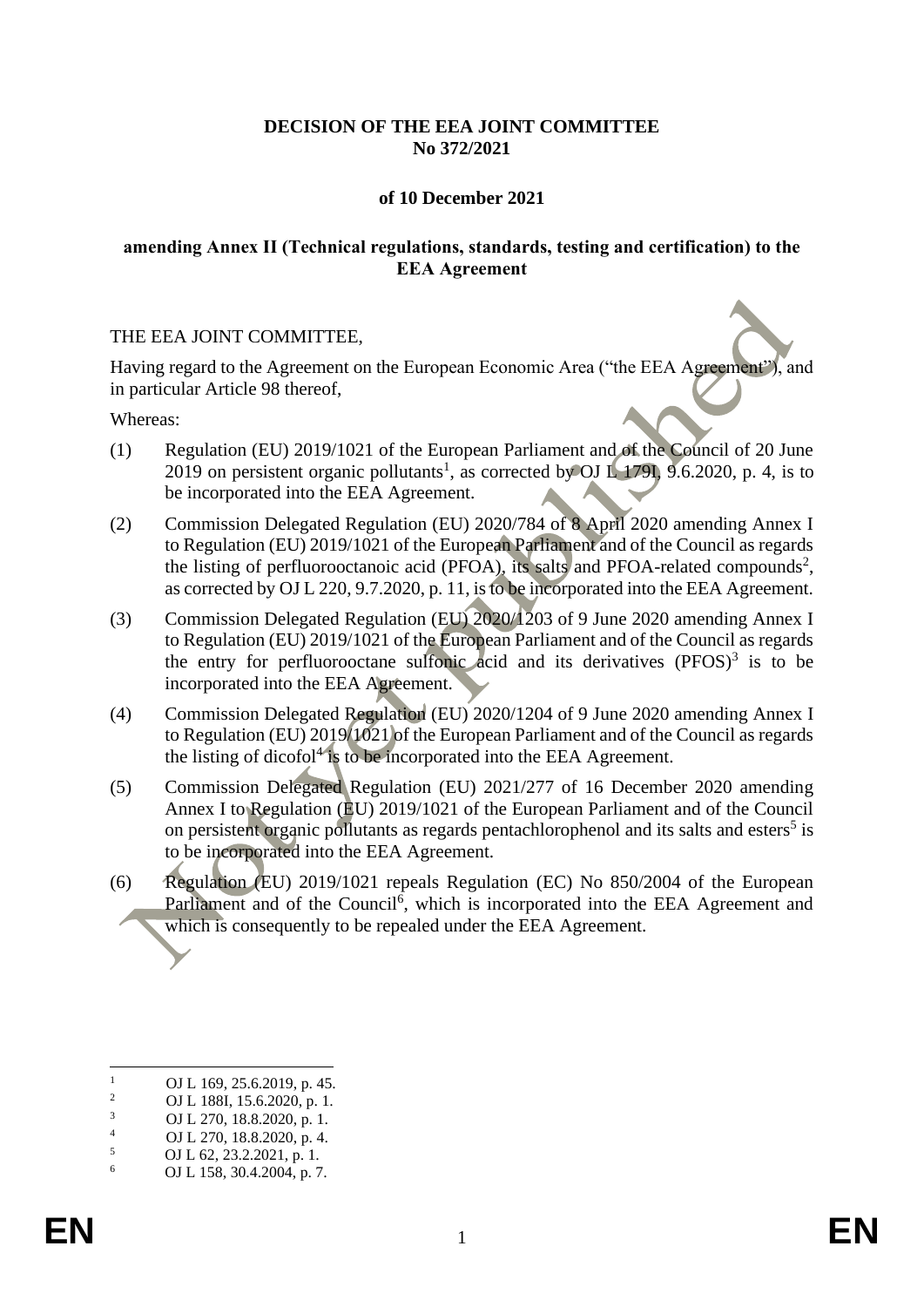## **DECISION OF THE EEA JOINT COMMITTEE No 372/2021**

### **of 10 December 2021**

#### **amending Annex II (Technical regulations, standards, testing and certification) to the EEA Agreement**

#### THE EEA JOINT COMMITTEE,

Having regard to the Agreement on the European Economic Area ("the EEA Agreement"), and in particular Article 98 thereof,

Whereas:

- (1) Regulation (EU) 2019/1021 of the European Parliament and of the Council of 20 June 2019 on persistent organic pollutants<sup>1</sup>, as corrected by OJ  $L$  1791, 9.6.2020, p. 4, is to be incorporated into the EEA Agreement.
- (2) Commission Delegated Regulation (EU) 2020/784 of 8 April 2020 amending Annex I to Regulation (EU) 2019/1021 of the European Parliament and of the Council as regards the listing of perfluorooctanoic acid (PFOA), its salts and PFOA-related compounds<sup>2</sup>, as corrected by OJ L 220, 9.7.2020, p. 11, is to be incorporated into the EEA Agreement.
- (3) Commission Delegated Regulation (EU) 2020/1203 of 9 June 2020 amending Annex I to Regulation (EU) 2019/1021 of the European Parliament and of the Council as regards the entry for perfluorooctane sulfonic acid and its derivatives  $(PPOS)^3$  is to be incorporated into the EEA Agreement.
- (4) Commission Delegated Regulation (EU) 2020/1204 of 9 June 2020 amending Annex I to Regulation (EU) 2019/1021 of the European Parliament and of the Council as regards the listing of dicofol<sup>4</sup> is to be incorporated into the EEA Agreement.
- (5) Commission Delegated Regulation (EU) 2021/277 of 16 December 2020 amending Annex I to Regulation (EU) 2019/1021 of the European Parliament and of the Council on persistent organic pollutants as regards pentachlorophenol and its salts and esters<sup>5</sup> is to be incorporated into the EEA Agreement.
- (6) Regulation (EU) 2019/1021 repeals Regulation (EC) No 850/2004 of the European Parliament and of the Council<sup>6</sup>, which is incorporated into the EEA Agreement and which is consequently to be repealed under the EEA Agreement.

 $\frac{1}{2}$  OJ L 169, 25.6.2019, p. 45.

<sup>&</sup>lt;sup>2</sup> OJ L 188I, 15.6.2020, p. 1.<br><sup>3</sup> OJ L 270, 18.8.2020, p. 1.

 $\frac{3}{4}$  OJ L 270, 18.8.2020, p. 1.

 $^{4}$  OJ L 270, 18.8.2020, p. 4.

 $^{5}$  OJ L 62, 23.2.2021, p. 1.<br>6 OJ L 158, 30.4.2004, p. 7.

<sup>6</sup> OJ L 158, 30.4.2004, p. 7.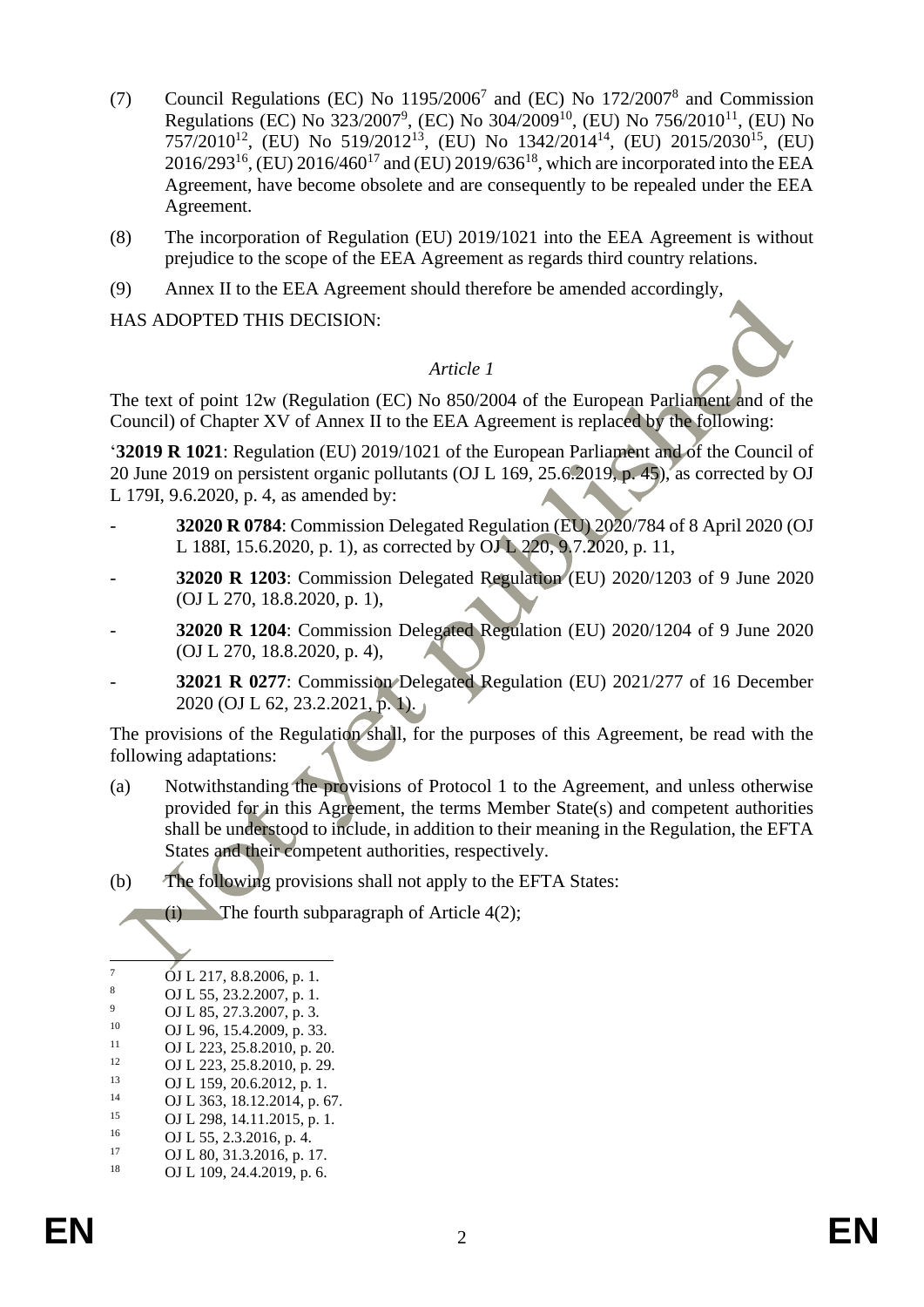- (7) Council Regulations (EC) No  $1195/2006^7$  and (EC) No  $172/2007^8$  and Commission Regulations (EC) No 323/2007<sup>9</sup>, (EC) No 304/2009<sup>10</sup>, (EU) No 756/2010<sup>11</sup>, (EU) No  $757/2010^{12}$ , (EU) No  $519/2012^{13}$ , (EU) No  $1342/2014^{14}$ , (EU)  $2015/2030^{15}$ , (EU) 2016/293<sup>16</sup>, (EU) 2016/460<sup>17</sup> and (EU) 2019/636<sup>18</sup>, which are incorporated into the EEA Agreement, have become obsolete and are consequently to be repealed under the EEA Agreement.
- (8) The incorporation of Regulation (EU) 2019/1021 into the EEA Agreement is without prejudice to the scope of the EEA Agreement as regards third country relations.
- (9) Annex II to the EEA Agreement should therefore be amended accordingly,

HAS ADOPTED THIS DECISION:

#### *Article 1*

The text of point 12w (Regulation (EC) No 850/2004 of the European Parliament and of the Council) of Chapter XV of Annex II to the EEA Agreement is replaced by the following:

'**32019 R 1021**: Regulation (EU) 2019/1021 of the European Parliament and of the Council of 20 June 2019 on persistent organic pollutants (OJ L 169, 25.6.2019, p. 45), as corrected by OJ L 179I, 9.6.2020, p. 4, as amended by:

- **32020 R 0784**: Commission Delegated Regulation (EU) 2020/784 of 8 April 2020 (OJ L 188I, 15.6.2020, p. 1), as corrected by OJ L 220, 9.7.2020, p. 11,
- **32020 R 1203**: Commission Delegated Regulation (EU) 2020/1203 of 9 June 2020 (OJ L 270, 18.8.2020, p. 1),
- **32020 R 1204**: Commission Delegated Regulation (EU) 2020/1204 of 9 June 2020 (OJ L 270, 18.8.2020, p. 4),
- **32021 R 0277**: Commission Delegated Regulation (EU) 2021/277 of 16 December 2020 (OJ L 62, 23.2.2021, p. 1).

The provisions of the Regulation shall, for the purposes of this Agreement, be read with the following adaptations:

- (a) Notwithstanding the provisions of Protocol 1 to the Agreement, and unless otherwise provided for in this Agreement, the terms Member State(s) and competent authorities shall be understood to include, in addition to their meaning in the Regulation, the EFTA States and their competent authorities, respectively.
- (b) The following provisions shall not apply to the EFTA States:
	- (i) The fourth subparagraph of Article  $4(2)$ ;

 $\overline{O}$  OJ L 217, 8.8.2006, p. 1.<br>8 OJ L 55 23 2 2007 p. 1.

 $\frac{8}{9}$  OJ L 55, 23.2.2007, p. 1.

 $^{9}$  OJ L 85, 27.3.2007, p. 3.<br><sup>10</sup> OJ L 96, 15, 4, 2009, p. 33

<sup>&</sup>lt;sup>10</sup> OJ L 96, 15.4.2009, p. 33.<br><sup>11</sup> OJ L 223, 25, 8, 2010, p. 20

<sup>&</sup>lt;sup>11</sup> OJ L 223, 25.8.2010, p. 20.<br><sup>12</sup> OJ L 223, 25.8.2010, p. 20.

<sup>&</sup>lt;sup>12</sup> OJ L 223, 25.8.2010, p. 29.<br>OJ L 159, 20.6.2012, p. 1

 $13$  OJ L 159, 20.6.2012, p. 1.<br>  $14$  OJ L 363, 18, 12, 2014, p. 6

<sup>&</sup>lt;sup>14</sup> OJ L 363, 18.12.2014, p. 67.<br>OJ L 298, 14.11.2015, p. 1

<sup>&</sup>lt;sup>15</sup> OJ L 298, 14.11.2015, p. 1.<br><sup>16</sup> OJ L 55, 2, 3, 2016, p. 4.

 $^{16}$  OJ L 55, 2.3.2016, p. 4.<br>
OJ L 80, 31, 3.2016, p. 1

<sup>&</sup>lt;sup>17</sup> OJ L 80, 31.3.2016, p. 17.<br><sup>18</sup> OJ L 100, 24, 4, 2010, p. 6. OJ L 109, 24.4.2019, p. 6.